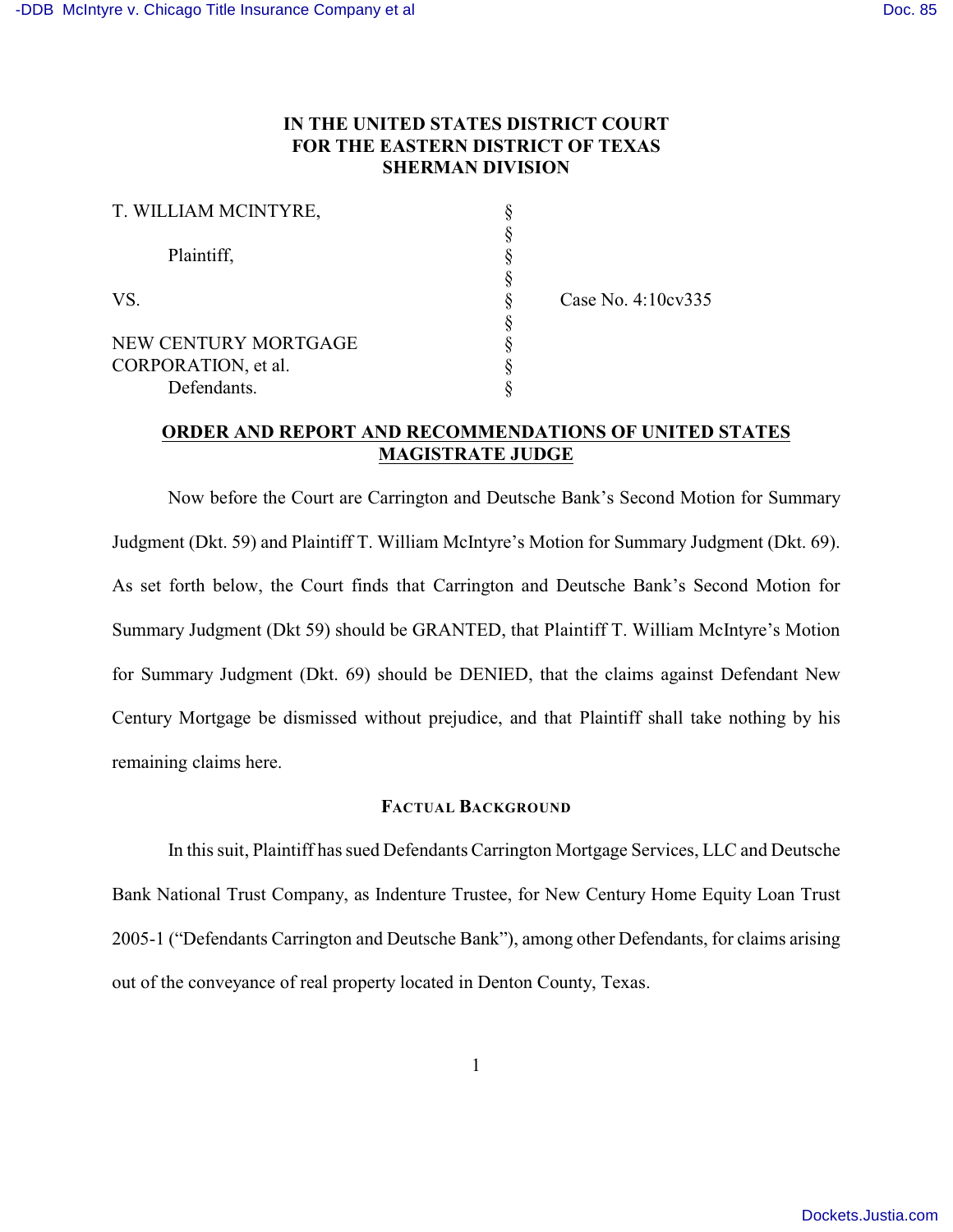## **IN THE UNITED STATES DISTRICT COURT FOR THE EASTERN DISTRICT OF TEXAS SHERMAN DIVISION**

| T. WILLIAM MCINTYRE, |                    |
|----------------------|--------------------|
|                      |                    |
| Plaintiff,           |                    |
|                      |                    |
| VS.                  | Case No. 4:10cv335 |
|                      |                    |
| NEW CENTURY MORTGAGE |                    |
| CORPORATION, et al.  |                    |
| Defendants.          |                    |

### **ORDER AND REPORT AND RECOMMENDATIONS OF UNITED STATES MAGISTRATE JUDGE**

Now before the Court are Carrington and Deutsche Bank's Second Motion for Summary Judgment (Dkt. 59) and Plaintiff T. William McIntyre's Motion for Summary Judgment (Dkt. 69). As set forth below, the Court finds that Carrington and Deutsche Bank's Second Motion for Summary Judgment (Dkt 59) should be GRANTED, that Plaintiff T. William McIntyre's Motion for Summary Judgment (Dkt. 69) should be DENIED, that the claims against Defendant New Century Mortgage be dismissed without prejudice, and that Plaintiff shall take nothing by his remaining claims here.

#### **FACTUAL BACKGROUND**

In this suit, Plaintiff has sued Defendants Carrington Mortgage Services, LLC and Deutsche Bank National Trust Company, as Indenture Trustee, for New Century Home Equity Loan Trust 2005-1 ("Defendants Carrington and Deutsche Bank"), among other Defendants, for claims arising out of the conveyance of real property located in Denton County, Texas.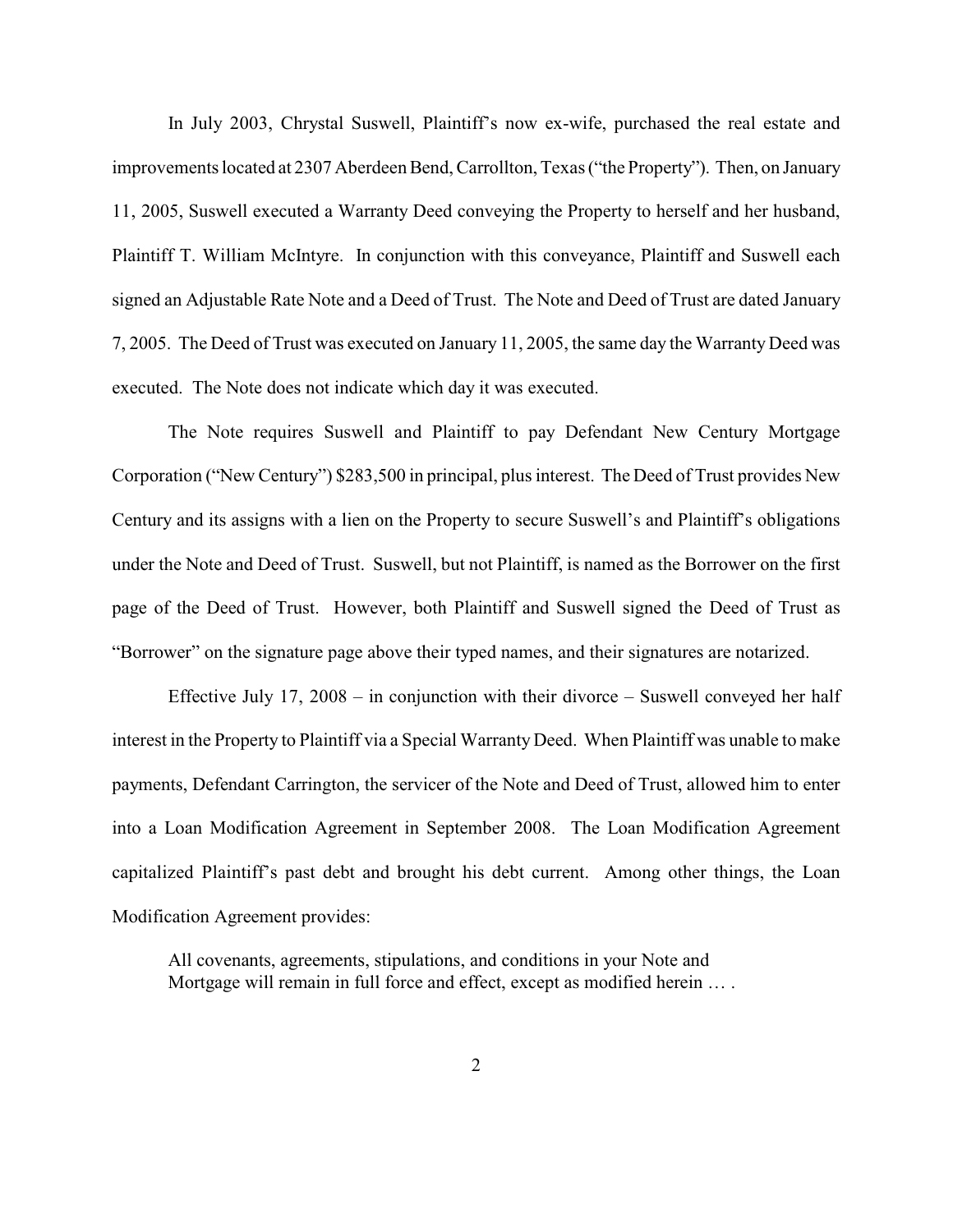In July 2003, Chrystal Suswell, Plaintiff's now ex-wife, purchased the real estate and improvements located at 2307 Aberdeen Bend, Carrollton, Texas ("the Property"). Then, on January 11, 2005, Suswell executed a Warranty Deed conveying the Property to herself and her husband, Plaintiff T. William McIntyre. In conjunction with this conveyance, Plaintiff and Suswell each signed an Adjustable Rate Note and a Deed of Trust. The Note and Deed of Trust are dated January 7, 2005. The Deed of Trust was executed on January 11, 2005, the same day the Warranty Deed was executed. The Note does not indicate which day it was executed.

The Note requires Suswell and Plaintiff to pay Defendant New Century Mortgage Corporation ("New Century") \$283,500 in principal, plus interest. The Deed of Trust provides New Century and its assigns with a lien on the Property to secure Suswell's and Plaintiff's obligations under the Note and Deed of Trust. Suswell, but not Plaintiff, is named as the Borrower on the first page of the Deed of Trust. However, both Plaintiff and Suswell signed the Deed of Trust as "Borrower" on the signature page above their typed names, and their signatures are notarized.

Effective July 17, 2008 – in conjunction with their divorce – Suswell conveyed her half interest in the Property to Plaintiff via a Special Warranty Deed. When Plaintiff was unable to make payments, Defendant Carrington, the servicer of the Note and Deed of Trust, allowed him to enter into a Loan Modification Agreement in September 2008. The Loan Modification Agreement capitalized Plaintiff's past debt and brought his debt current. Among other things, the Loan Modification Agreement provides:

All covenants, agreements, stipulations, and conditions in your Note and Mortgage will remain in full force and effect, except as modified herein ... .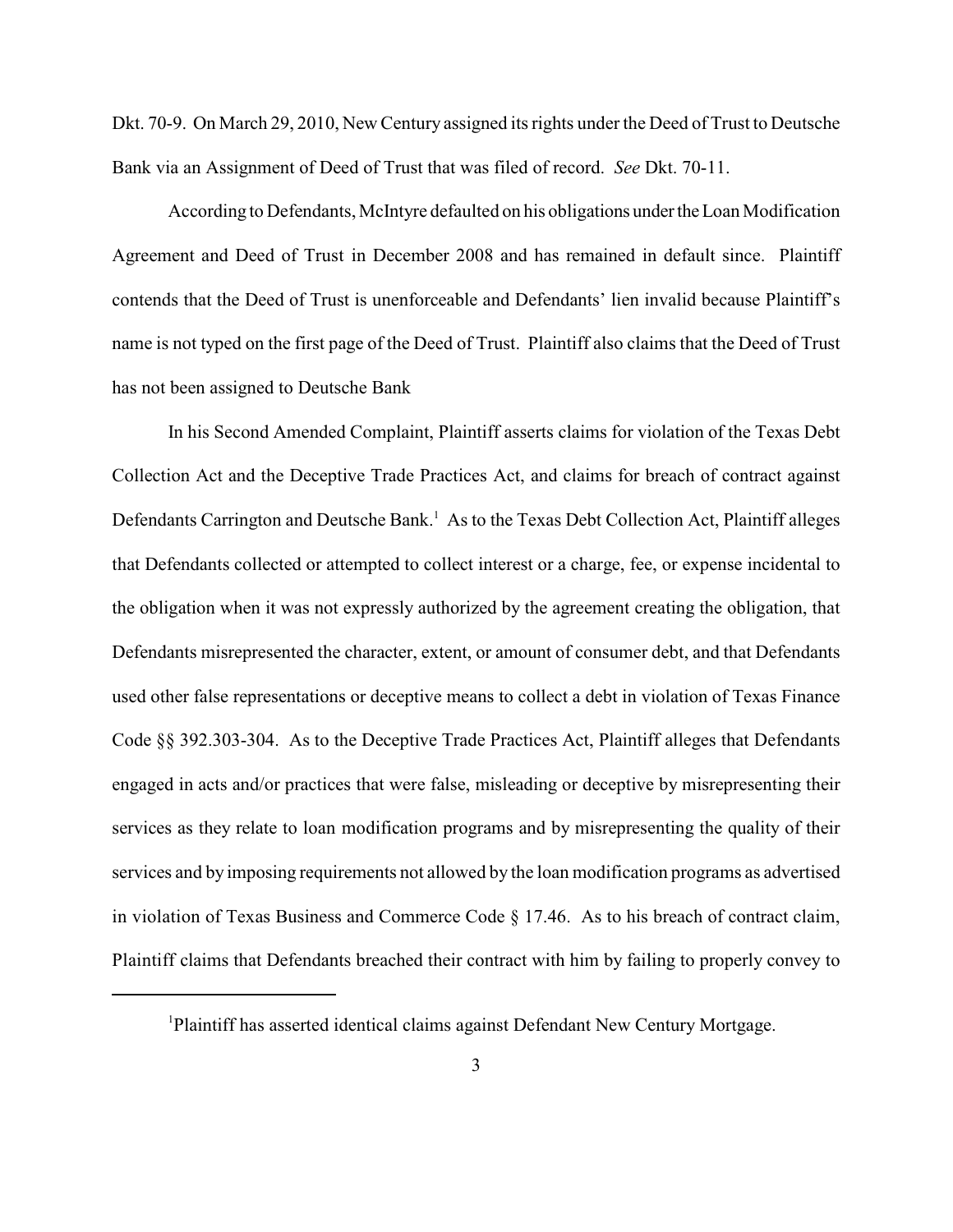Dkt. 70-9. On March 29, 2010, New Century assigned its rights under the Deed of Trust to Deutsche Bank via an Assignment of Deed of Trust that was filed of record. *See* Dkt. 70-11.

According to Defendants, McIntyre defaulted on his obligations under the Loan Modification Agreement and Deed of Trust in December 2008 and has remained in default since. Plaintiff contends that the Deed of Trust is unenforceable and Defendants' lien invalid because Plaintiff's name is not typed on the first page of the Deed of Trust. Plaintiff also claims that the Deed of Trust has not been assigned to Deutsche Bank

In his Second Amended Complaint, Plaintiff asserts claims for violation of the Texas Debt Collection Act and the Deceptive Trade Practices Act, and claims for breach of contract against Defendants Carrington and Deutsche Bank.<sup>1</sup> As to the Texas Debt Collection Act, Plaintiff alleges that Defendants collected or attempted to collect interest or a charge, fee, or expense incidental to the obligation when it was not expressly authorized by the agreement creating the obligation, that Defendants misrepresented the character, extent, or amount of consumer debt, and that Defendants used other false representations or deceptive means to collect a debt in violation of Texas Finance Code §§ 392.303-304. As to the Deceptive Trade Practices Act, Plaintiff alleges that Defendants engaged in acts and/or practices that were false, misleading or deceptive by misrepresenting their services as they relate to loan modification programs and by misrepresenting the quality of their services and by imposing requirements not allowed by the loan modification programs as advertised in violation of Texas Business and Commerce Code § 17.46. As to his breach of contract claim, Plaintiff claims that Defendants breached their contract with him by failing to properly convey to

<sup>&</sup>lt;sup>1</sup>Plaintiff has asserted identical claims against Defendant New Century Mortgage.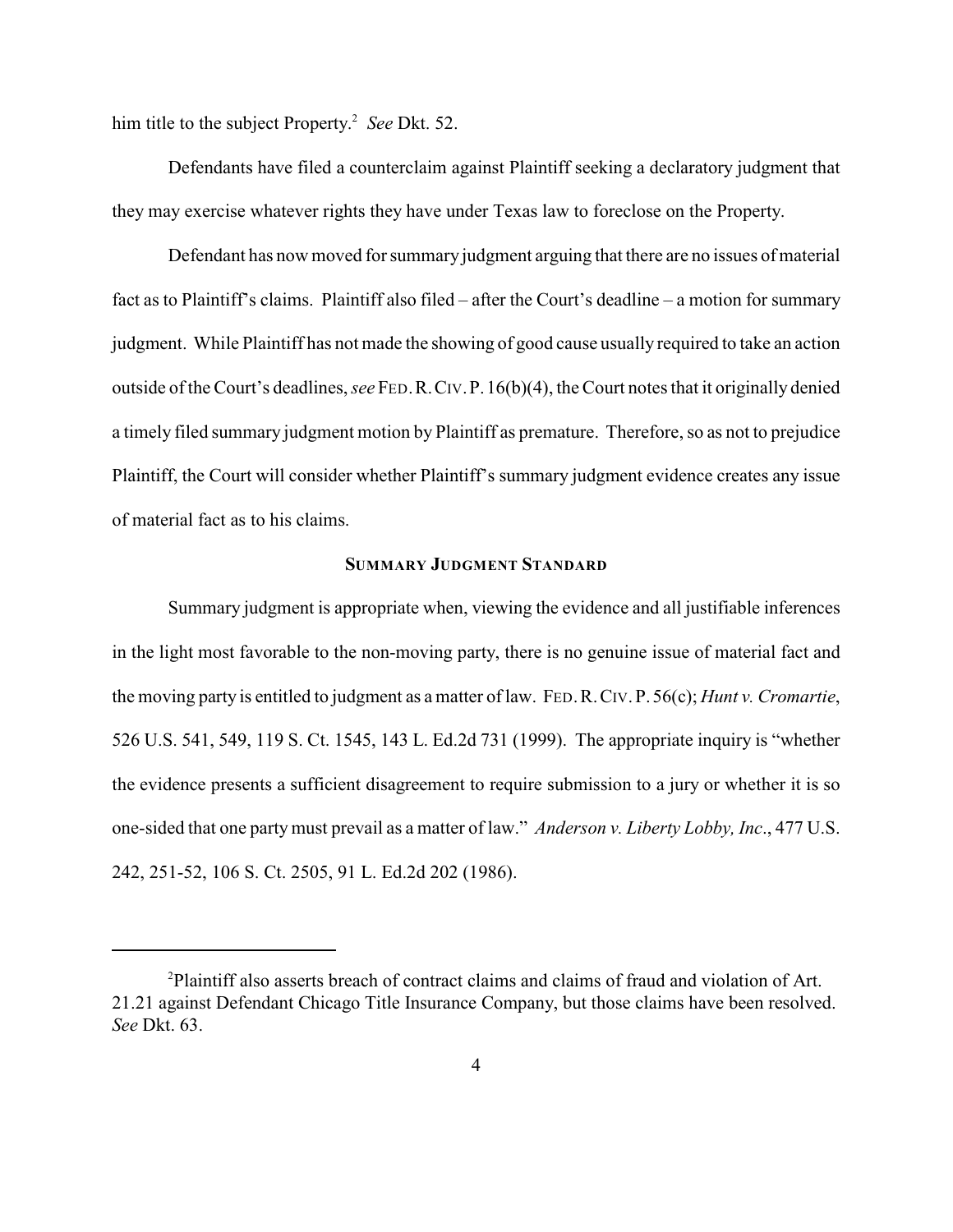him title to the subject Property.<sup>2</sup> See Dkt. 52.

Defendants have filed a counterclaim against Plaintiff seeking a declaratory judgment that they may exercise whatever rights they have under Texas law to foreclose on the Property.

Defendant has now moved for summary judgment arguing that there are no issues of material fact as to Plaintiff's claims. Plaintiff also filed – after the Court's deadline – a motion for summary judgment. While Plaintiff has not made the showing of good cause usually required to take an action outside of the Court's deadlines, *see* FED.R.CIV.P.16(b)(4), the Court notes that it originally denied a timely filed summary judgment motion by Plaintiff as premature. Therefore, so as not to prejudice Plaintiff, the Court will consider whether Plaintiff's summary judgment evidence creates any issue of material fact as to his claims.

### **SUMMARY JUDGMENT STANDARD**

Summary judgment is appropriate when, viewing the evidence and all justifiable inferences in the light most favorable to the non-moving party, there is no genuine issue of material fact and the moving party is entitled to judgment as a matter of law. FED.R.CIV.P. 56(c); *Hunt v. Cromartie*, 526 U.S. 541, 549, 119 S. Ct. 1545, 143 L. Ed.2d 731 (1999). The appropriate inquiry is "whether the evidence presents a sufficient disagreement to require submission to a jury or whether it is so one-sided that one partymust prevail as a matter of law." *Anderson v. Liberty Lobby, Inc*., 477 U.S. 242, 251-52, 106 S. Ct. 2505, 91 L. Ed.2d 202 (1986).

<sup>&</sup>lt;sup>2</sup>Plaintiff also asserts breach of contract claims and claims of fraud and violation of Art. 21.21 against Defendant Chicago Title Insurance Company, but those claims have been resolved. *See* Dkt. 63.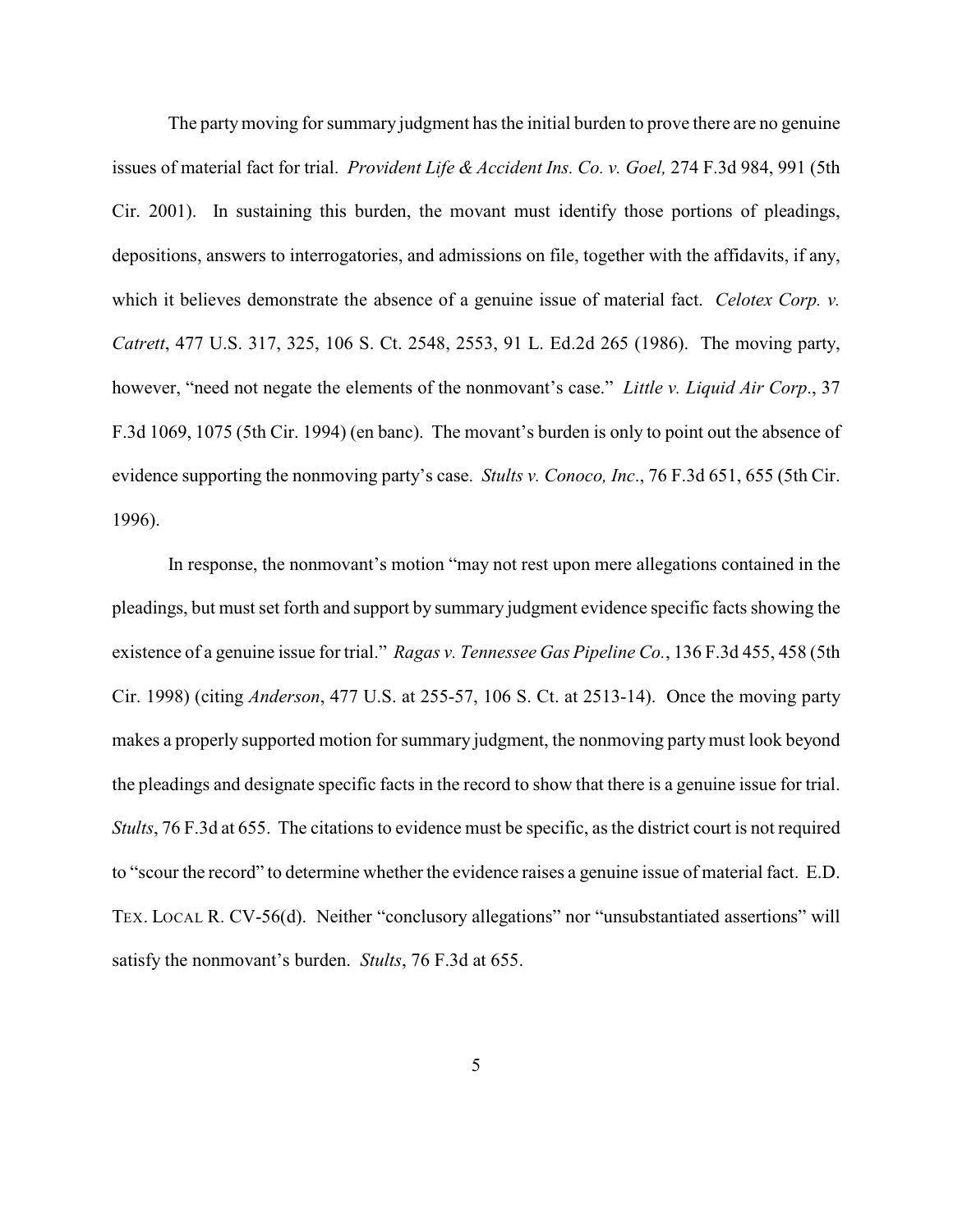The party moving for summary judgment has the initial burden to prove there are no genuine issues of material fact for trial. *Provident Life & Accident Ins. Co. v. Goel,* 274 F.3d 984, 991 (5th Cir. 2001). In sustaining this burden, the movant must identify those portions of pleadings, depositions, answers to interrogatories, and admissions on file, together with the affidavits, if any, which it believes demonstrate the absence of a genuine issue of material fact. *Celotex Corp. v. Catrett*, 477 U.S. 317, 325, 106 S. Ct. 2548, 2553, 91 L. Ed.2d 265 (1986). The moving party, however, "need not negate the elements of the nonmovant's case." *Little v. Liquid Air Corp*., 37 F.3d 1069, 1075 (5th Cir. 1994) (en banc). The movant's burden is only to point out the absence of evidence supporting the nonmoving party's case. *Stults v. Conoco, Inc*., 76 F.3d 651, 655 (5th Cir. 1996).

In response, the nonmovant's motion "may not rest upon mere allegations contained in the pleadings, but must set forth and support by summary judgment evidence specific facts showing the existence of a genuine issue for trial." *Ragas v. Tennessee Gas Pipeline Co.*, 136 F.3d 455, 458 (5th Cir. 1998) (citing *Anderson*, 477 U.S. at 255-57, 106 S. Ct. at 2513-14). Once the moving party makes a properly supported motion for summary judgment, the nonmoving partymust look beyond the pleadings and designate specific facts in the record to show that there is a genuine issue for trial. *Stults*, 76 F.3d at 655. The citations to evidence must be specific, as the district court is not required to "scour the record" to determine whether the evidence raises a genuine issue of material fact. E.D. TEX. LOCAL R. CV-56(d). Neither "conclusory allegations" nor "unsubstantiated assertions" will satisfy the nonmovant's burden. *Stults*, 76 F.3d at 655.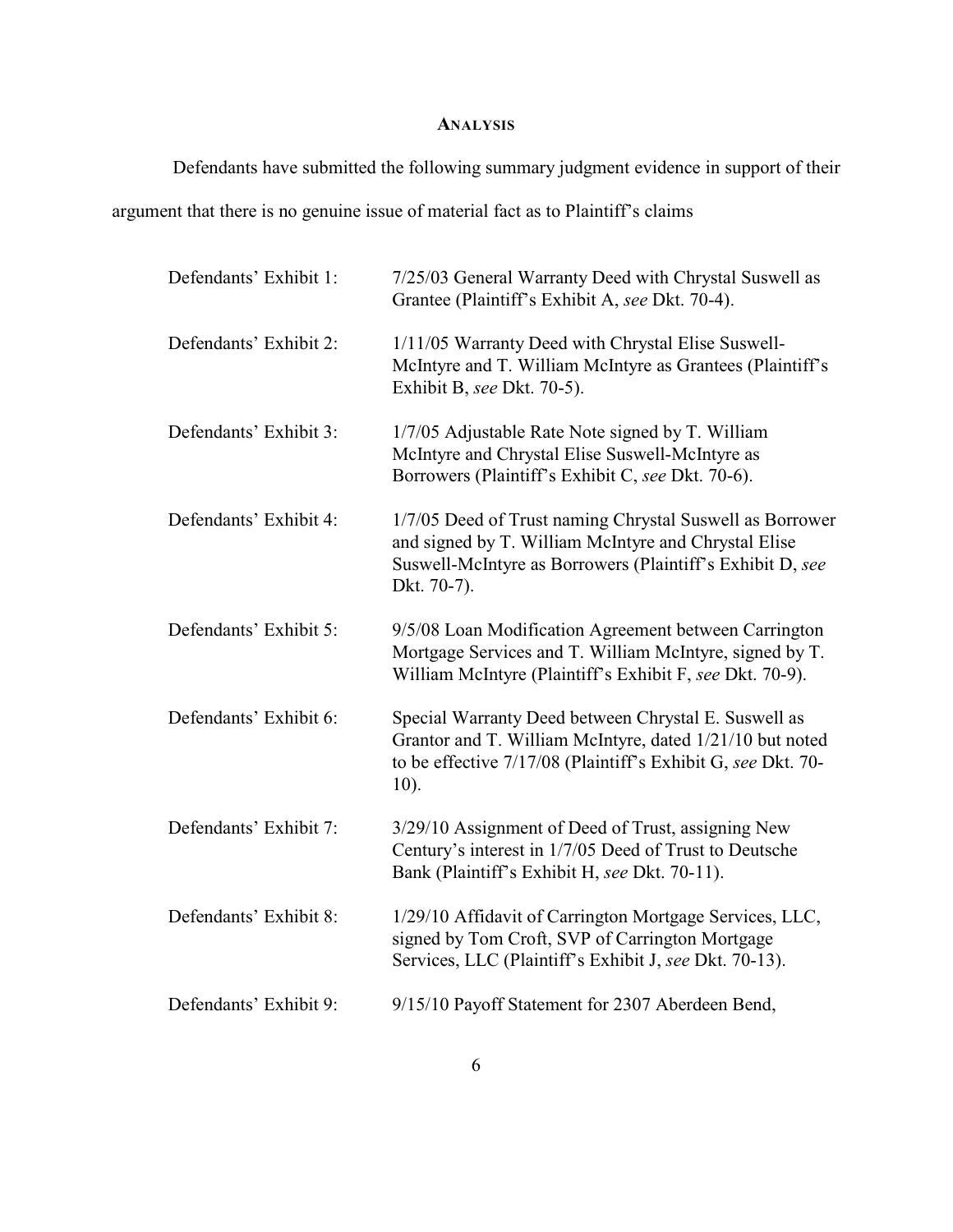# **ANALYSIS**

Defendants have submitted the following summary judgment evidence in support of their

argument that there is no genuine issue of material fact as to Plaintiff's claims

| Defendants' Exhibit 1: | 7/25/03 General Warranty Deed with Chrystal Suswell as<br>Grantee (Plaintiff's Exhibit A, see Dkt. 70-4).                                                                                    |
|------------------------|----------------------------------------------------------------------------------------------------------------------------------------------------------------------------------------------|
| Defendants' Exhibit 2: | 1/11/05 Warranty Deed with Chrystal Elise Suswell-<br>McIntyre and T. William McIntyre as Grantees (Plaintiff's<br>Exhibit B, see Dkt. 70-5).                                                |
| Defendants' Exhibit 3: | 1/7/05 Adjustable Rate Note signed by T. William<br>McIntyre and Chrystal Elise Suswell-McIntyre as<br>Borrowers (Plaintiff's Exhibit C, see Dkt. 70-6).                                     |
| Defendants' Exhibit 4: | 1/7/05 Deed of Trust naming Chrystal Suswell as Borrower<br>and signed by T. William McIntyre and Chrystal Elise<br>Suswell-McIntyre as Borrowers (Plaintiff's Exhibit D, see<br>Dkt. 70-7). |
| Defendants' Exhibit 5: | 9/5/08 Loan Modification Agreement between Carrington<br>Mortgage Services and T. William McIntyre, signed by T.<br>William McIntyre (Plaintiff's Exhibit F, see Dkt. 70-9).                 |
| Defendants' Exhibit 6: | Special Warranty Deed between Chrystal E. Suswell as<br>Grantor and T. William McIntyre, dated 1/21/10 but noted<br>to be effective 7/17/08 (Plaintiff's Exhibit G, see Dkt. 70-<br>$10$ ).  |
| Defendants' Exhibit 7: | 3/29/10 Assignment of Deed of Trust, assigning New<br>Century's interest in 1/7/05 Deed of Trust to Deutsche<br>Bank (Plaintiff's Exhibit H, see Dkt. 70-11).                                |
| Defendants' Exhibit 8: | 1/29/10 Affidavit of Carrington Mortgage Services, LLC,<br>signed by Tom Croft, SVP of Carrington Mortgage<br>Services, LLC (Plaintiff's Exhibit J, see Dkt. 70-13).                         |
| Defendants' Exhibit 9: | 9/15/10 Payoff Statement for 2307 Aberdeen Bend,                                                                                                                                             |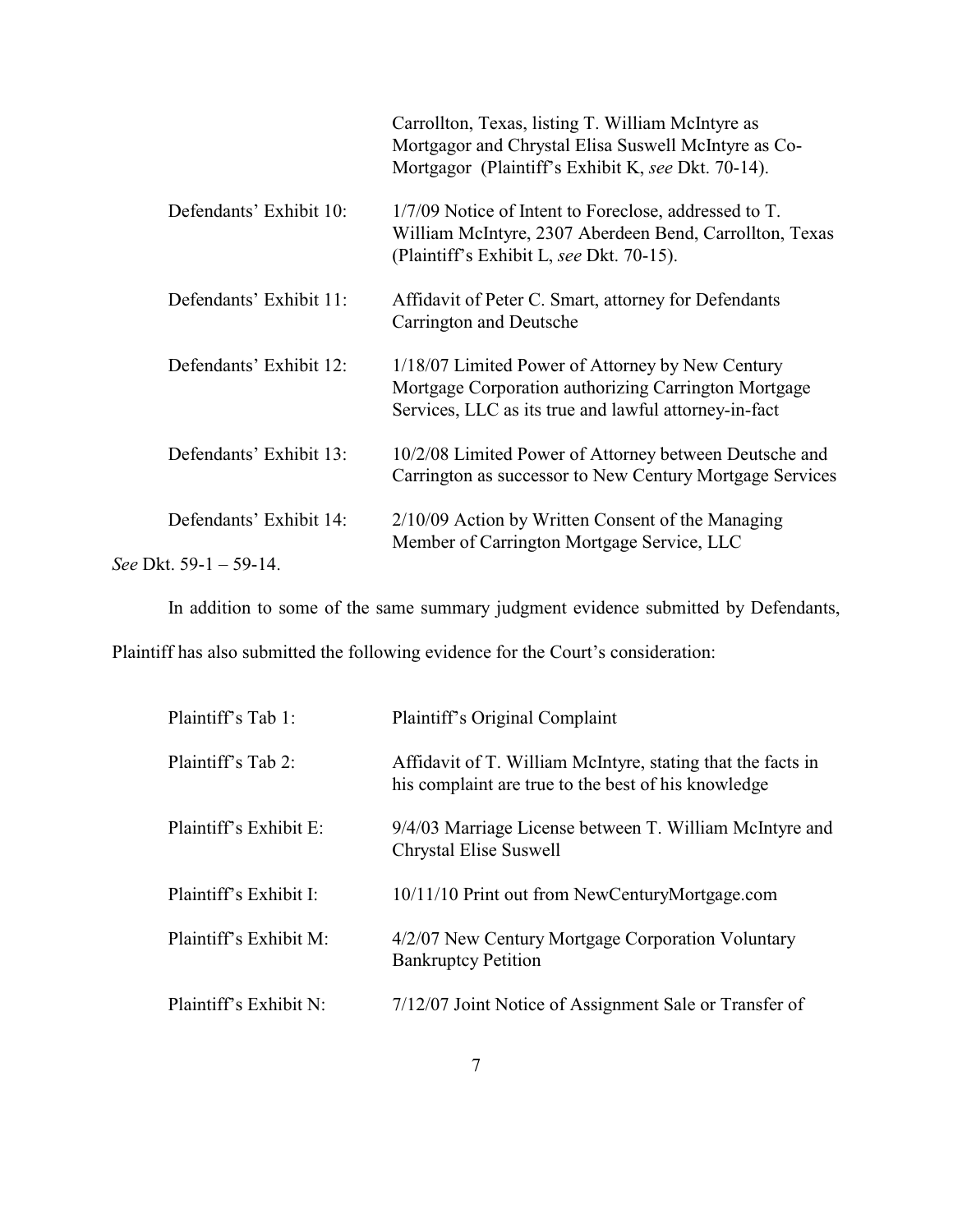|                           | Carrollton, Texas, listing T. William McIntyre as<br>Mortgagor and Chrystal Elisa Suswell McIntyre as Co-<br>Mortgagor (Plaintiff's Exhibit K, see Dkt. 70-14).   |
|---------------------------|-------------------------------------------------------------------------------------------------------------------------------------------------------------------|
| Defendants' Exhibit 10:   | 1/7/09 Notice of Intent to Foreclose, addressed to T.<br>William McIntyre, 2307 Aberdeen Bend, Carrollton, Texas<br>(Plaintiff's Exhibit L, see Dkt. 70-15).      |
| Defendants' Exhibit 11:   | Affidavit of Peter C. Smart, attorney for Defendants<br>Carrington and Deutsche                                                                                   |
| Defendants' Exhibit 12:   | 1/18/07 Limited Power of Attorney by New Century<br>Mortgage Corporation authorizing Carrington Mortgage<br>Services, LLC as its true and lawful attorney-in-fact |
| Defendants' Exhibit 13:   | 10/2/08 Limited Power of Attorney between Deutsche and<br>Carrington as successor to New Century Mortgage Services                                                |
| Defendants' Exhibit 14:   | $2/10/09$ Action by Written Consent of the Managing<br>Member of Carrington Mortgage Service, LLC                                                                 |
| See Dkt. $59-1 - 59-14$ . |                                                                                                                                                                   |

In addition to some of the same summary judgment evidence submitted by Defendants,

Plaintiff has also submitted the following evidence for the Court's consideration:

| Plaintiff's Tab 1:     | Plaintiff's Original Complaint                                                                                     |
|------------------------|--------------------------------------------------------------------------------------------------------------------|
| Plaintiff's Tab 2:     | Affidavit of T. William McIntyre, stating that the facts in<br>his complaint are true to the best of his knowledge |
| Plaintiff's Exhibit E: | 9/4/03 Marriage License between T. William McIntyre and<br>Chrystal Elise Suswell                                  |
| Plaintiff's Exhibit I: | 10/11/10 Print out from NewCenturyMortgage.com                                                                     |
| Plaintiff's Exhibit M: | 4/2/07 New Century Mortgage Corporation Voluntary<br><b>Bankruptcy Petition</b>                                    |
| Plaintiff's Exhibit N: | 7/12/07 Joint Notice of Assignment Sale or Transfer of                                                             |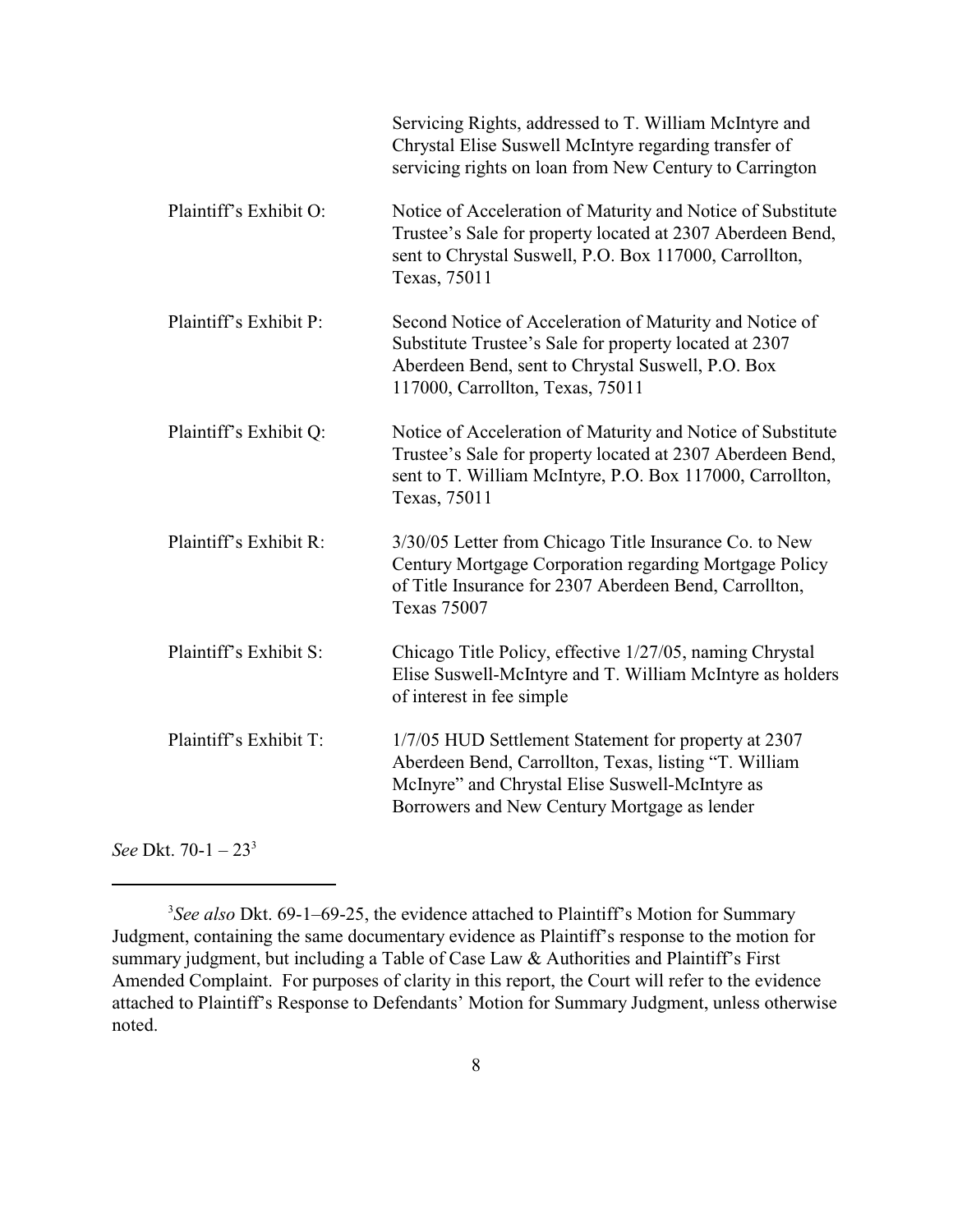|                        | Servicing Rights, addressed to T. William McIntyre and<br>Chrystal Elise Suswell McIntyre regarding transfer of<br>servicing rights on loan from New Century to Carrington                                       |
|------------------------|------------------------------------------------------------------------------------------------------------------------------------------------------------------------------------------------------------------|
| Plaintiff's Exhibit O: | Notice of Acceleration of Maturity and Notice of Substitute<br>Trustee's Sale for property located at 2307 Aberdeen Bend,<br>sent to Chrystal Suswell, P.O. Box 117000, Carrollton,<br>Texas, 75011              |
| Plaintiff's Exhibit P: | Second Notice of Acceleration of Maturity and Notice of<br>Substitute Trustee's Sale for property located at 2307<br>Aberdeen Bend, sent to Chrystal Suswell, P.O. Box<br>117000, Carrollton, Texas, 75011       |
| Plaintiff's Exhibit Q: | Notice of Acceleration of Maturity and Notice of Substitute<br>Trustee's Sale for property located at 2307 Aberdeen Bend,<br>sent to T. William McIntyre, P.O. Box 117000, Carrollton,<br>Texas, 75011           |
| Plaintiff's Exhibit R: | 3/30/05 Letter from Chicago Title Insurance Co. to New<br>Century Mortgage Corporation regarding Mortgage Policy<br>of Title Insurance for 2307 Aberdeen Bend, Carrollton,<br><b>Texas 75007</b>                 |
| Plaintiff's Exhibit S: | Chicago Title Policy, effective 1/27/05, naming Chrystal<br>Elise Suswell-McIntyre and T. William McIntyre as holders<br>of interest in fee simple                                                               |
| Plaintiff's Exhibit T: | 1/7/05 HUD Settlement Statement for property at 2307<br>Aberdeen Bend, Carrollton, Texas, listing "T. William<br>McInyre" and Chrystal Elise Suswell-McIntyre as<br>Borrowers and New Century Mortgage as lender |
|                        |                                                                                                                                                                                                                  |

*See* Dkt. 70-1 – 23<sup>3</sup>

<sup>&</sup>lt;sup>3</sup>See also Dkt. 69-1–69-25, the evidence attached to Plaintiff's Motion for Summary Judgment, containing the same documentary evidence as Plaintiff's response to the motion for summary judgment, but including a Table of Case Law & Authorities and Plaintiff's First Amended Complaint. For purposes of clarity in this report, the Court will refer to the evidence attached to Plaintiff's Response to Defendants' Motion for Summary Judgment, unless otherwise noted.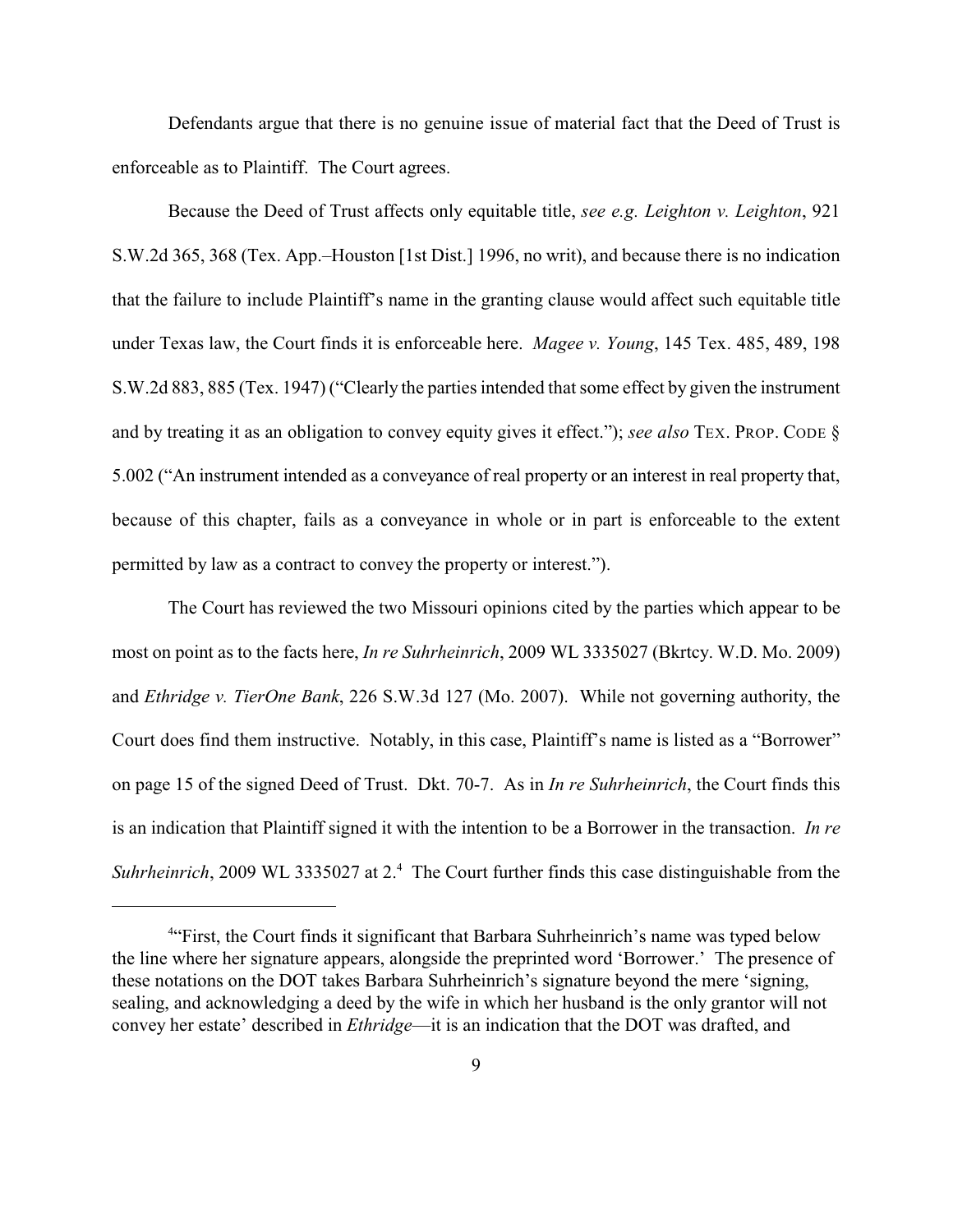Defendants argue that there is no genuine issue of material fact that the Deed of Trust is enforceable as to Plaintiff. The Court agrees.

Because the Deed of Trust affects only equitable title, *see e.g. Leighton v. Leighton*, 921 S.W.2d 365, 368 (Tex. App.–Houston [1st Dist.] 1996, no writ), and because there is no indication that the failure to include Plaintiff's name in the granting clause would affect such equitable title under Texas law, the Court finds it is enforceable here. *Magee v. Young*, 145 Tex. 485, 489, 198 S.W.2d 883, 885 (Tex. 1947) ("Clearly the parties intended that some effect by given the instrument and by treating it as an obligation to convey equity gives it effect."); *see also* TEX. PROP. CODE § 5.002 ("An instrument intended as a conveyance of real property or an interest in real property that, because of this chapter, fails as a conveyance in whole or in part is enforceable to the extent permitted by law as a contract to convey the property or interest.").

The Court has reviewed the two Missouri opinions cited by the parties which appear to be most on point as to the facts here, *In re Suhrheinrich*, 2009 WL 3335027 (Bkrtcy. W.D. Mo. 2009) and *Ethridge v. TierOne Bank*, 226 S.W.3d 127 (Mo. 2007). While not governing authority, the Court does find them instructive. Notably, in this case, Plaintiff's name is listed as a "Borrower" on page 15 of the signed Deed of Trust. Dkt. 70-7. As in *In re Suhrheinrich*, the Court finds this is an indication that Plaintiff signed it with the intention to be a Borrower in the transaction. *In re Suhrheinrich*, 2009 WL 3335027 at 2.<sup>4</sup> The Court further finds this case distinguishable from the

<sup>&</sup>lt;sup>4.</sup> First, the Court finds it significant that Barbara Suhrheinrich's name was typed below the line where her signature appears, alongside the preprinted word 'Borrower.' The presence of these notations on the DOT takes Barbara Suhrheinrich's signature beyond the mere 'signing, sealing, and acknowledging a deed by the wife in which her husband is the only grantor will not convey her estate' described in *Ethridge*—it is an indication that the DOT was drafted, and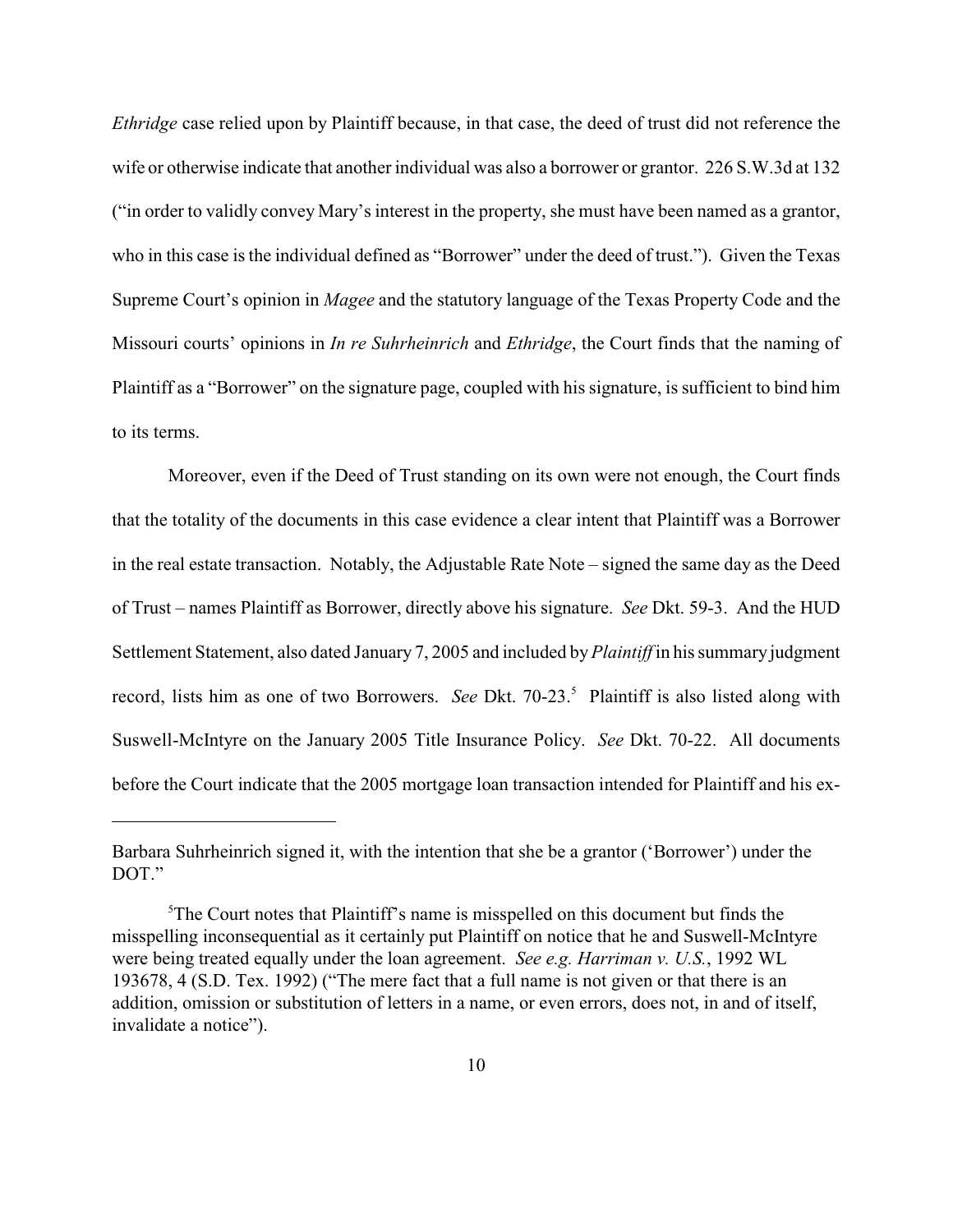*Ethridge* case relied upon by Plaintiff because, in that case, the deed of trust did not reference the wife or otherwise indicate that another individual was also a borrower or grantor. 226 S.W.3d at 132 ("in order to validly convey Mary's interest in the property, she must have been named as a grantor, who in this case is the individual defined as "Borrower" under the deed of trust."). Given the Texas Supreme Court's opinion in *Magee* and the statutory language of the Texas Property Code and the Missouri courts' opinions in *In re Suhrheinrich* and *Ethridge*, the Court finds that the naming of Plaintiff as a "Borrower" on the signature page, coupled with his signature, is sufficient to bind him to its terms.

Moreover, even if the Deed of Trust standing on its own were not enough, the Court finds that the totality of the documents in this case evidence a clear intent that Plaintiff was a Borrower in the real estate transaction. Notably, the Adjustable Rate Note – signed the same day as the Deed of Trust – names Plaintiff as Borrower, directly above his signature. *See* Dkt. 59-3. And the HUD Settlement Statement, also dated January 7, 2005 and included by *Plaintiff* in his summary judgment record, lists him as one of two Borrowers. *See* Dkt. 70-23.<sup>5</sup> Plaintiff is also listed along with Suswell-McIntyre on the January 2005 Title Insurance Policy. *See* Dkt. 70-22. All documents before the Court indicate that the 2005 mortgage loan transaction intended for Plaintiff and his ex-

Barbara Suhrheinrich signed it, with the intention that she be a grantor ('Borrower') under the DOT."

 ${}^{5}$ The Court notes that Plaintiff's name is misspelled on this document but finds the misspelling inconsequential as it certainly put Plaintiff on notice that he and Suswell-McIntyre were being treated equally under the loan agreement. *See e.g. Harriman v. U.S.*, 1992 WL 193678, 4 (S.D. Tex. 1992) ("The mere fact that a full name is not given or that there is an addition, omission or substitution of letters in a name, or even errors, does not, in and of itself, invalidate a notice").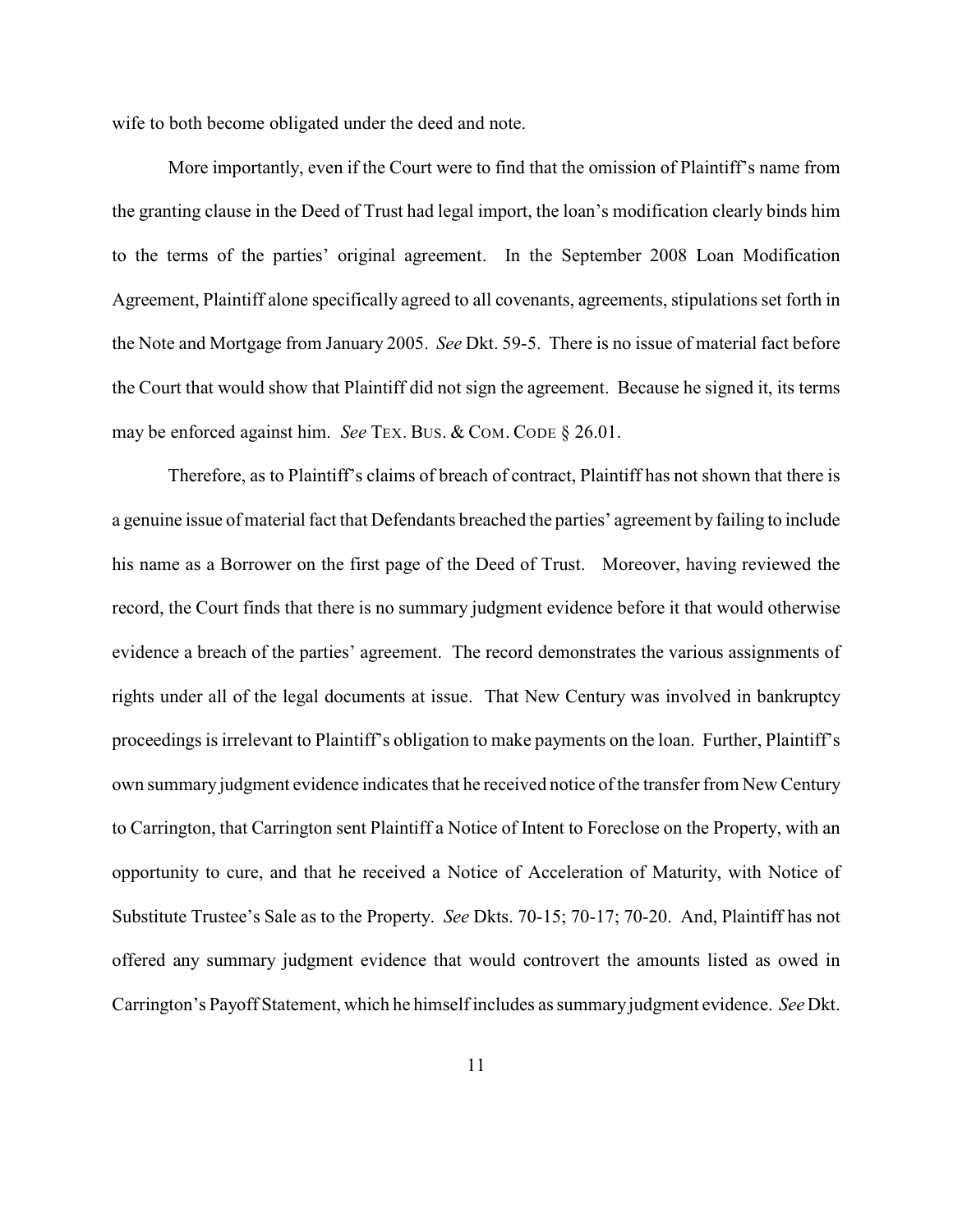wife to both become obligated under the deed and note.

More importantly, even if the Court were to find that the omission of Plaintiff's name from the granting clause in the Deed of Trust had legal import, the loan's modification clearly binds him to the terms of the parties' original agreement. In the September 2008 Loan Modification Agreement, Plaintiff alone specifically agreed to all covenants, agreements, stipulations set forth in the Note and Mortgage from January 2005. *See* Dkt. 59-5. There is no issue of material fact before the Court that would show that Plaintiff did not sign the agreement. Because he signed it, its terms may be enforced against him. *See* TEX. BUS. & COM. CODE § 26.01.

Therefore, as to Plaintiff's claims of breach of contract, Plaintiff has not shown that there is a genuine issue of material fact that Defendants breached the parties' agreement by failing to include his name as a Borrower on the first page of the Deed of Trust. Moreover, having reviewed the record, the Court finds that there is no summary judgment evidence before it that would otherwise evidence a breach of the parties' agreement. The record demonstrates the various assignments of rights under all of the legal documents at issue. That New Century was involved in bankruptcy proceedings is irrelevant to Plaintiff's obligation to make payments on the loan. Further, Plaintiff's own summary judgment evidence indicates that he received notice of the transfer from New Century to Carrington, that Carrington sent Plaintiff a Notice of Intent to Foreclose on the Property, with an opportunity to cure, and that he received a Notice of Acceleration of Maturity, with Notice of Substitute Trustee's Sale as to the Property. *See* Dkts. 70-15; 70-17; 70-20. And, Plaintiff has not offered any summary judgment evidence that would controvert the amounts listed as owed in Carrington's Payoff Statement, which he himself includes as summary judgment evidence. *See* Dkt.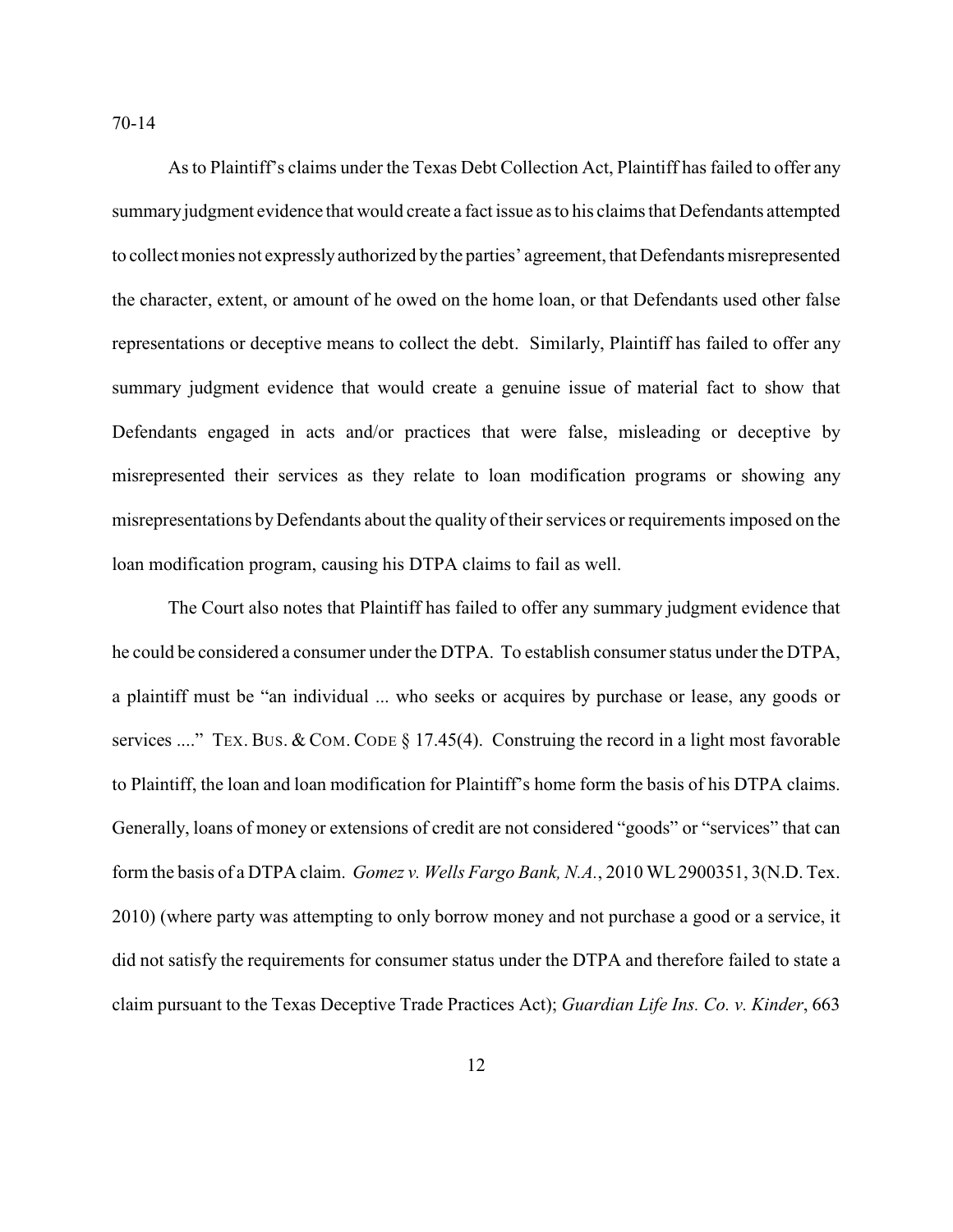70-14

As to Plaintiff's claims under the Texas Debt Collection Act, Plaintiff has failed to offer any summary judgment evidence that would create a fact issue as to his claims that Defendants attempted to collect monies not expressly authorized by the parties' agreement, that Defendants misrepresented the character, extent, or amount of he owed on the home loan, or that Defendants used other false representations or deceptive means to collect the debt. Similarly, Plaintiff has failed to offer any summary judgment evidence that would create a genuine issue of material fact to show that Defendants engaged in acts and/or practices that were false, misleading or deceptive by misrepresented their services as they relate to loan modification programs or showing any misrepresentations by Defendants about the quality of their services or requirements imposed on the loan modification program, causing his DTPA claims to fail as well.

The Court also notes that Plaintiff has failed to offer any summary judgment evidence that he could be considered a consumer under the DTPA. To establish consumer status under the DTPA, a plaintiff must be "an individual ... who seeks or acquires by purchase or lease, any goods or services ...." TEX. BUS. & COM. CODE § 17.45(4). Construing the record in a light most favorable to Plaintiff, the loan and loan modification for Plaintiff's home form the basis of his DTPA claims. Generally, loans of money or extensions of credit are not considered "goods" or "services" that can form the basis of a DTPA claim. *Gomez v. Wells Fargo Bank, N.A.*, 2010 WL 2900351, 3(N.D. Tex. 2010) (where party was attempting to only borrow money and not purchase a good or a service, it did not satisfy the requirements for consumer status under the DTPA and therefore failed to state a claim pursuant to the Texas Deceptive Trade Practices Act); *Guardian Life Ins. Co. v. Kinder*, 663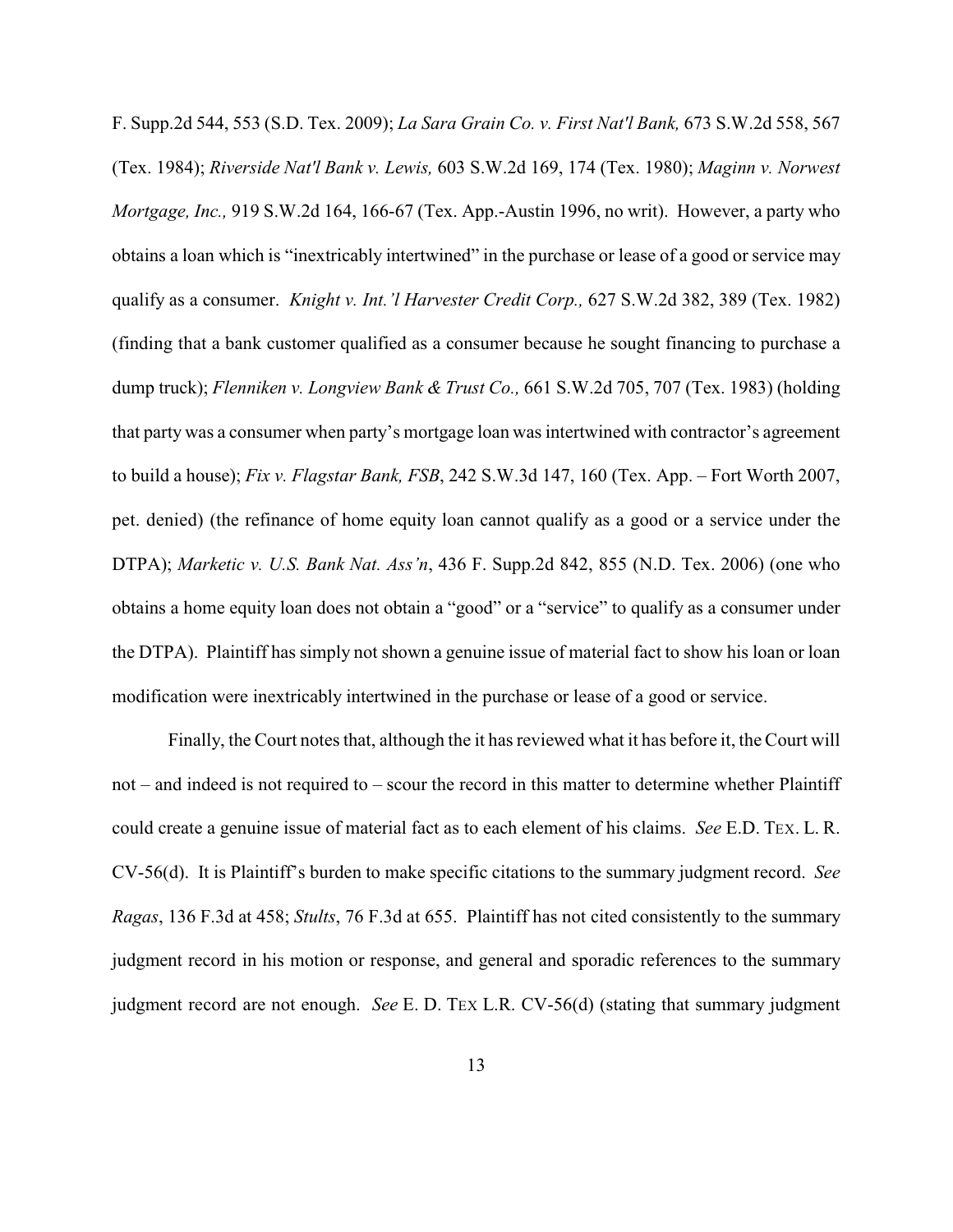F. Supp.2d 544, 553 (S.D. Tex. 2009); *La Sara Grain Co. v. First Nat'l Bank,* 673 S.W.2d 558, 567 (Tex. 1984); *Riverside Nat'l Bank v. Lewis,* 603 S.W.2d 169, 174 (Tex. 1980); *Maginn v. Norwest Mortgage, Inc.,* 919 S.W.2d 164, 166-67 (Tex. App.-Austin 1996, no writ). However, a party who obtains a loan which is "inextricably intertwined" in the purchase or lease of a good or service may qualify as a consumer. *Knight v. Int.'l Harvester Credit Corp.,* 627 S.W.2d 382, 389 (Tex. 1982) (finding that a bank customer qualified as a consumer because he sought financing to purchase a dump truck); *Flenniken v. Longview Bank & Trust Co.,* 661 S.W.2d 705, 707 (Tex. 1983) (holding that party was a consumer when party's mortgage loan was intertwined with contractor's agreement to build a house); *Fix v. Flagstar Bank, FSB*, 242 S.W.3d 147, 160 (Tex. App. – Fort Worth 2007, pet. denied) (the refinance of home equity loan cannot qualify as a good or a service under the DTPA); *Marketic v. U.S. Bank Nat. Ass'n*, 436 F. Supp.2d 842, 855 (N.D. Tex. 2006) (one who obtains a home equity loan does not obtain a "good" or a "service" to qualify as a consumer under the DTPA). Plaintiff has simply not shown a genuine issue of material fact to show his loan or loan modification were inextricably intertwined in the purchase or lease of a good or service.

Finally, the Court notes that, although the it has reviewed what it has before it, the Court will not – and indeed is not required to – scour the record in this matter to determine whether Plaintiff could create a genuine issue of material fact as to each element of his claims. *See* E.D. TEX. L. R. CV-56(d). It is Plaintiff's burden to make specific citations to the summary judgment record. *See Ragas*, 136 F.3d at 458; *Stults*, 76 F.3d at 655. Plaintiff has not cited consistently to the summary judgment record in his motion or response, and general and sporadic references to the summary judgment record are not enough. *See* E. D. TEX L.R. CV-56(d) (stating that summary judgment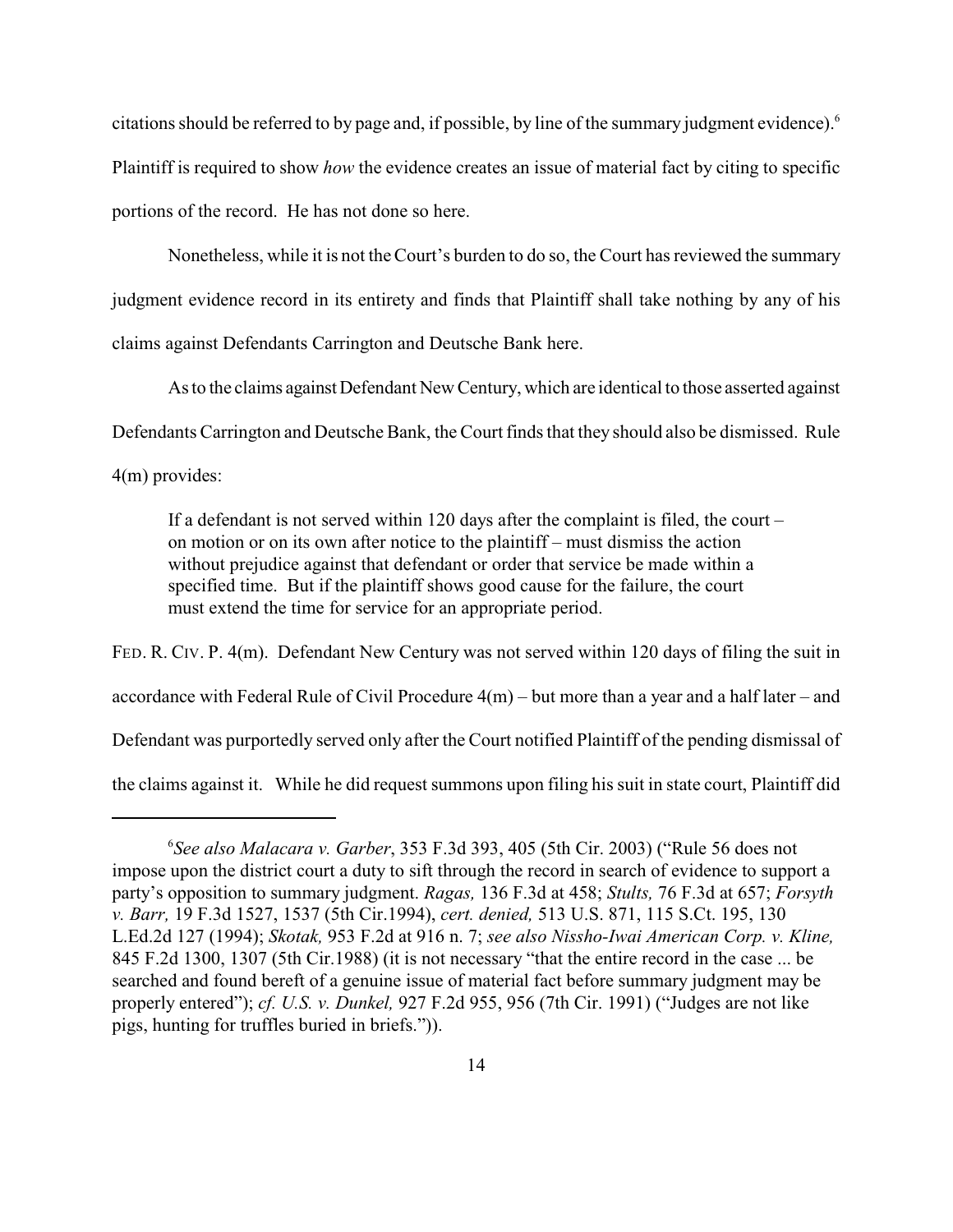citations should be referred to by page and, if possible, by line of the summary judgment evidence).<sup>6</sup> Plaintiff is required to show *how* the evidence creates an issue of material fact by citing to specific portions of the record. He has not done so here.

Nonetheless, while it is not theCourt's burden to do so, the Court has reviewed the summary judgment evidence record in its entirety and finds that Plaintiff shall take nothing by any of his claims against Defendants Carrington and Deutsche Bank here.

As to the claims against Defendant New Century, which are identical to those asserted against Defendants Carrington and Deutsche Bank, the Court finds that they should also be dismissed. Rule

4(m) provides:

If a defendant is not served within 120 days after the complaint is filed, the court – on motion or on its own after notice to the plaintiff – must dismiss the action without prejudice against that defendant or order that service be made within a specified time. But if the plaintiff shows good cause for the failure, the court must extend the time for service for an appropriate period.

FED. R. CIV. P. 4(m). Defendant New Century was not served within 120 days of filing the suit in accordance with Federal Rule of Civil Procedure 4(m) – but more than a year and a half later – and Defendant was purportedly served only after the Court notified Plaintiff of the pending dismissal of the claims against it. While he did request summons upon filing hissuit in state court, Plaintiff did

*See also Malacara v. Garber*, 353 F.3d 393, 405 (5th Cir. 2003) ("Rule 56 does not <sup>6</sup> impose upon the district court a duty to sift through the record in search of evidence to support a party's opposition to summary judgment. *Ragas,* 136 F.3d at 458; *Stults,* 76 F.3d at 657; *Forsyth v. Barr,* 19 F.3d 1527, 1537 (5th Cir.1994), *cert. denied,* 513 U.S. 871, 115 S.Ct. 195, 130 L.Ed.2d 127 (1994); *Skotak,* 953 F.2d at 916 n. 7; *see also Nissho-Iwai American Corp. v. Kline,* 845 F.2d 1300, 1307 (5th Cir.1988) (it is not necessary "that the entire record in the case ... be searched and found bereft of a genuine issue of material fact before summary judgment may be properly entered"); *cf. U.S. v. Dunkel,* 927 F.2d 955, 956 (7th Cir. 1991) ("Judges are not like pigs, hunting for truffles buried in briefs.")).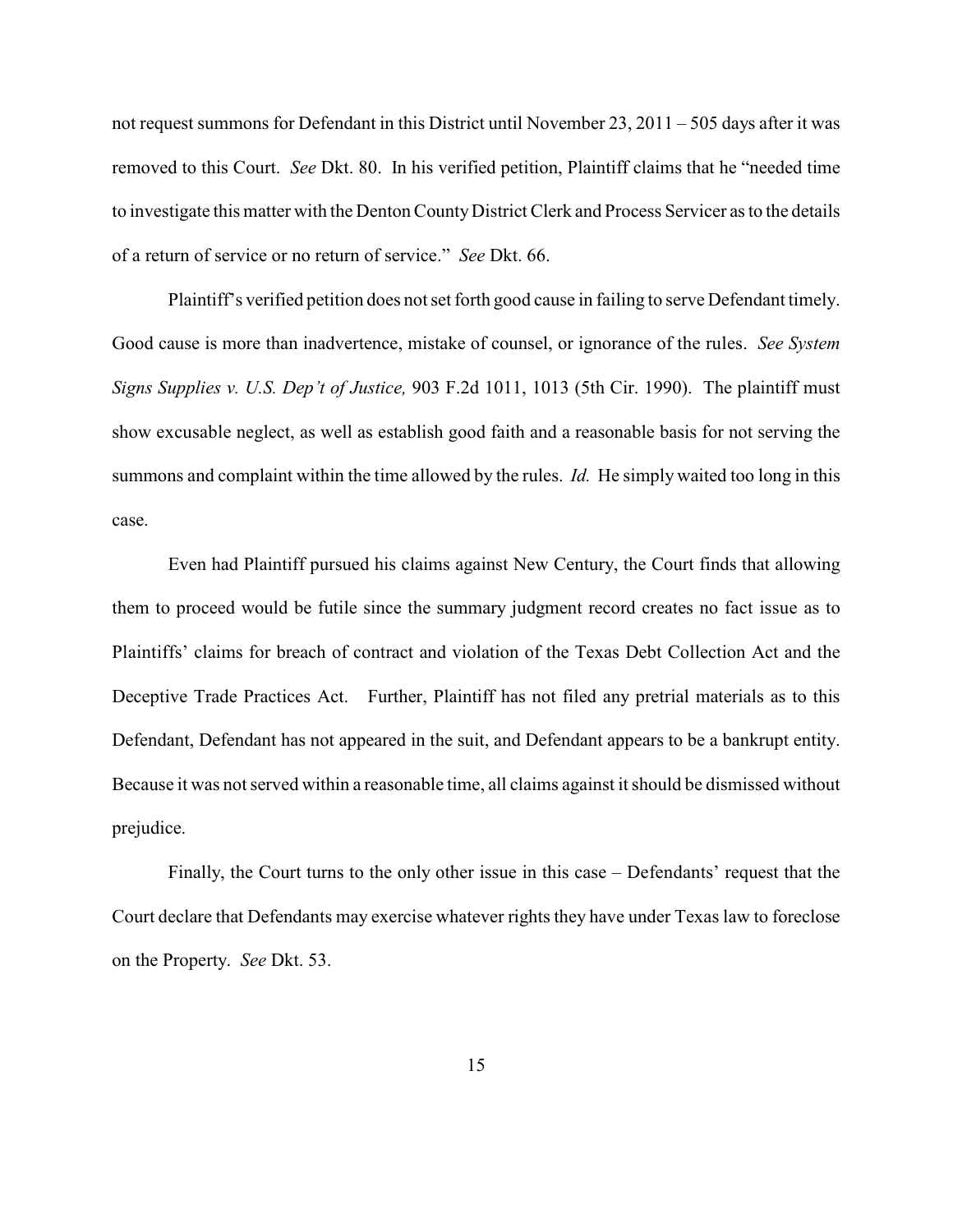not request summons for Defendant in this District until November 23, 2011 – 505 days after it was removed to this Court. *See* Dkt. 80. In his verified petition, Plaintiff claims that he "needed time to investigate this matter with the Denton County District Clerk and Process Servicer as to the details of a return of service or no return of service." *See* Dkt. 66.

Plaintiff's verified petition does not set forth good cause in failing to serve Defendant timely. Good cause is more than inadvertence, mistake of counsel, or ignorance of the rules. *See System Signs Supplies v. U.S. Dep't of Justice,* 903 F.2d 1011, 1013 (5th Cir. 1990). The plaintiff must show excusable neglect, as well as establish good faith and a reasonable basis for not serving the summons and complaint within the time allowed by the rules. *Id.* He simply waited too long in this case.

Even had Plaintiff pursued his claims against New Century, the Court finds that allowing them to proceed would be futile since the summary judgment record creates no fact issue as to Plaintiffs' claims for breach of contract and violation of the Texas Debt Collection Act and the Deceptive Trade Practices Act. Further, Plaintiff has not filed any pretrial materials as to this Defendant, Defendant has not appeared in the suit, and Defendant appears to be a bankrupt entity. Because it was not served within a reasonable time, all claims against it should be dismissed without prejudice.

Finally, the Court turns to the only other issue in this case – Defendants' request that the Court declare that Defendants may exercise whatever rights they have under Texas law to foreclose on the Property. *See* Dkt. 53.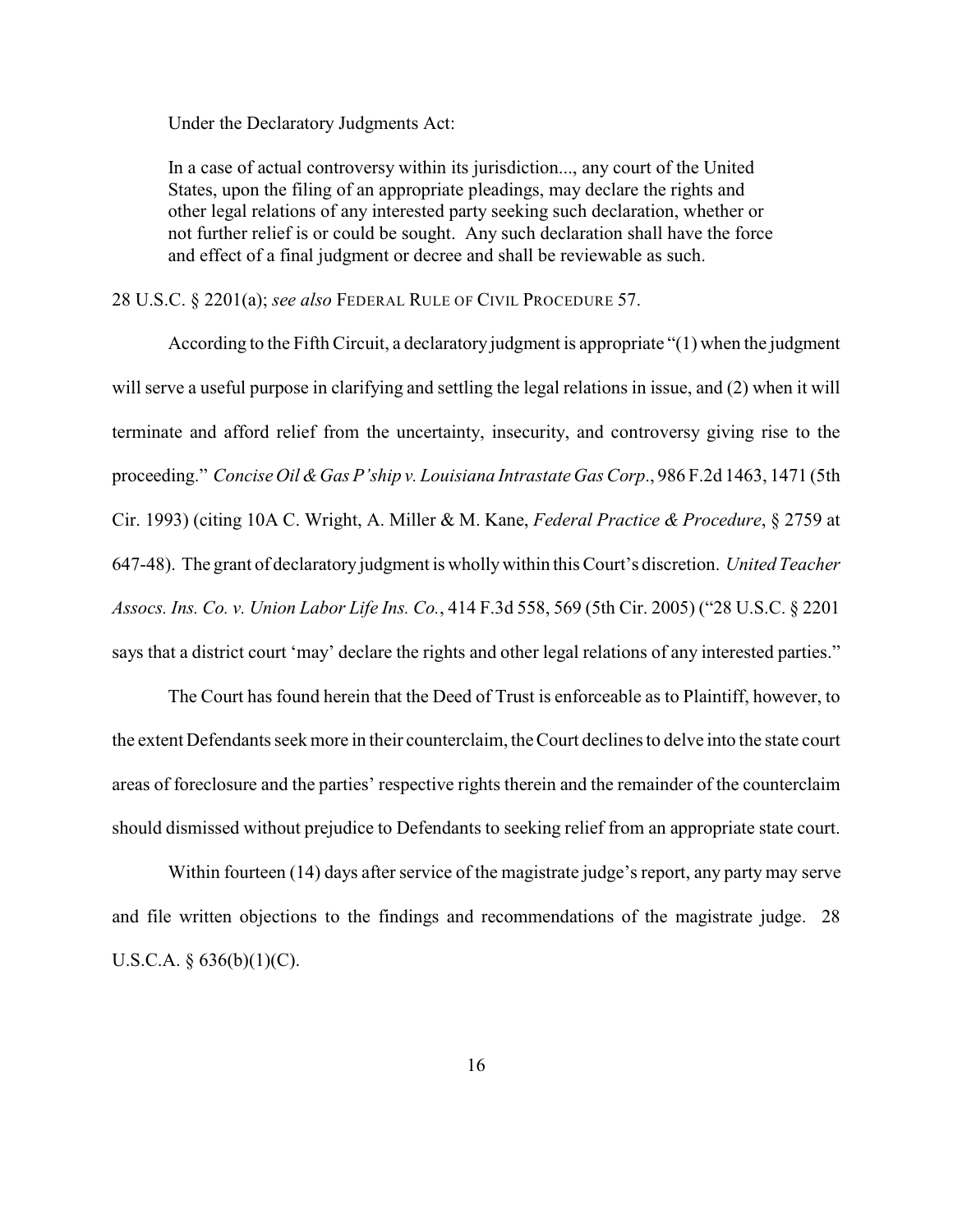Under the Declaratory Judgments Act:

In a case of actual controversy within its jurisdiction..., any court of the United States, upon the filing of an appropriate pleadings, may declare the rights and other legal relations of any interested party seeking such declaration, whether or not further relief is or could be sought. Any such declaration shall have the force and effect of a final judgment or decree and shall be reviewable as such.

28 U.S.C. § 2201(a); *see also* FEDERAL RULE OF CIVIL PROCEDURE 57.

According to the Fifth Circuit, a declaratory judgment is appropriate "(1) when the judgment will serve a useful purpose in clarifying and settling the legal relations in issue, and (2) when it will terminate and afford relief from the uncertainty, insecurity, and controversy giving rise to the proceeding." *ConciseOil & Gas P'ship v. Louisiana Intrastate Gas Corp*., 986 F.2d 1463, 1471 (5th Cir. 1993) (citing 10A C. Wright, A. Miller & M. Kane, *Federal Practice & Procedure*, § 2759 at 647-48). The grant of declaratory judgment is whollywithin this Court's discretion. *United Teacher Assocs. Ins. Co. v. Union Labor Life Ins. Co.*, 414 F.3d 558, 569 (5th Cir. 2005) ("28 U.S.C. § 2201 says that a district court 'may' declare the rights and other legal relations of any interested parties."

The Court has found herein that the Deed of Trust is enforceable as to Plaintiff, however, to the extent Defendants seek more in their counterclaim, the Court declines to delve into the state court areas of foreclosure and the parties' respective rights therein and the remainder of the counterclaim should dismissed without prejudice to Defendants to seeking relief from an appropriate state court.

Within fourteen (14) days after service of the magistrate judge's report, any party may serve and file written objections to the findings and recommendations of the magistrate judge. 28 U.S.C.A.  $\{636(b)(1)(C)\}.$